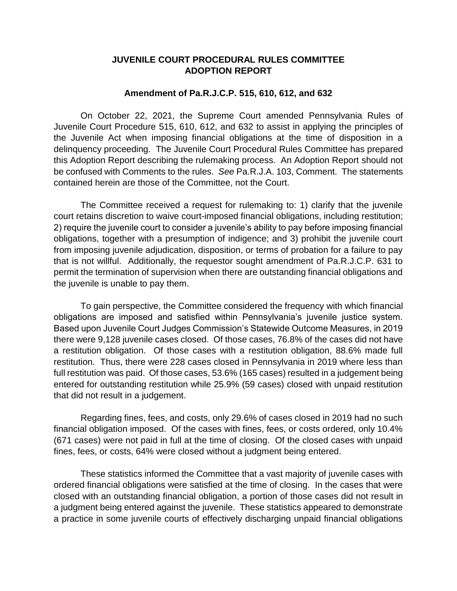## **JUVENILE COURT PROCEDURAL RULES COMMITTEE ADOPTION REPORT**

## **Amendment of Pa.R.J.C.P. 515, 610, 612, and 632**

On October 22, 2021, the Supreme Court amended Pennsylvania Rules of Juvenile Court Procedure 515, 610, 612, and 632 to assist in applying the principles of the Juvenile Act when imposing financial obligations at the time of disposition in a delinquency proceeding. The Juvenile Court Procedural Rules Committee has prepared this Adoption Report describing the rulemaking process. An Adoption Report should not be confused with Comments to the rules. *See* Pa.R.J.A. 103, Comment. The statements contained herein are those of the Committee, not the Court.

The Committee received a request for rulemaking to: 1) clarify that the juvenile court retains discretion to waive court-imposed financial obligations, including restitution; 2) require the juvenile court to consider a juvenile's ability to pay before imposing financial obligations, together with a presumption of indigence; and 3) prohibit the juvenile court from imposing juvenile adjudication, disposition, or terms of probation for a failure to pay that is not willful. Additionally, the requestor sought amendment of Pa.R.J.C.P. 631 to permit the termination of supervision when there are outstanding financial obligations and the juvenile is unable to pay them.

To gain perspective, the Committee considered the frequency with which financial obligations are imposed and satisfied within Pennsylvania's juvenile justice system. Based upon Juvenile Court Judges Commission's Statewide Outcome Measures, in 2019 there were 9,128 juvenile cases closed. Of those cases, 76.8% of the cases did not have a restitution obligation. Of those cases with a restitution obligation, 88.6% made full restitution. Thus, there were 228 cases closed in Pennsylvania in 2019 where less than full restitution was paid. Of those cases, 53.6% (165 cases) resulted in a judgement being entered for outstanding restitution while 25.9% (59 cases) closed with unpaid restitution that did not result in a judgement.

Regarding fines, fees, and costs, only 29.6% of cases closed in 2019 had no such financial obligation imposed. Of the cases with fines, fees, or costs ordered, only 10.4% (671 cases) were not paid in full at the time of closing. Of the closed cases with unpaid fines, fees, or costs, 64% were closed without a judgment being entered.

These statistics informed the Committee that a vast majority of juvenile cases with ordered financial obligations were satisfied at the time of closing. In the cases that were closed with an outstanding financial obligation, a portion of those cases did not result in a judgment being entered against the juvenile. These statistics appeared to demonstrate a practice in some juvenile courts of effectively discharging unpaid financial obligations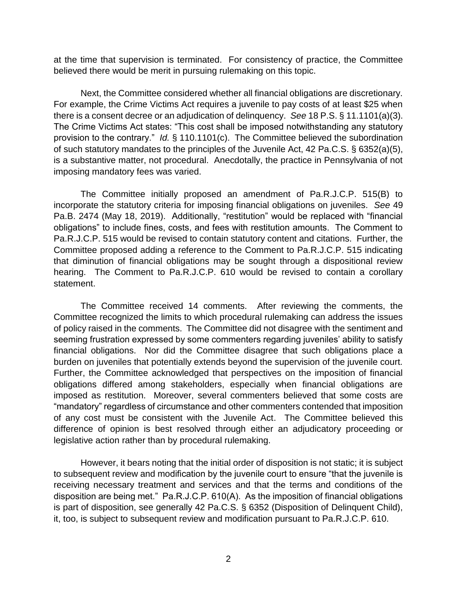at the time that supervision is terminated. For consistency of practice, the Committee believed there would be merit in pursuing rulemaking on this topic.

Next, the Committee considered whether all financial obligations are discretionary. For example, the Crime Victims Act requires a juvenile to pay costs of at least \$25 when there is a consent decree or an adjudication of delinquency. *See* 18 P.S. § 11.1101(a)(3). The Crime Victims Act states: "This cost shall be imposed notwithstanding any statutory provision to the contrary." *Id.* § 110.1101(c). The Committee believed the subordination of such statutory mandates to the principles of the Juvenile Act, 42 Pa.C.S. § 6352(a)(5), is a substantive matter, not procedural. Anecdotally, the practice in Pennsylvania of not imposing mandatory fees was varied.

The Committee initially proposed an amendment of Pa.R.J.C.P. 515(B) to incorporate the statutory criteria for imposing financial obligations on juveniles. *See* 49 Pa.B. 2474 (May 18, 2019). Additionally, "restitution" would be replaced with "financial obligations" to include fines, costs, and fees with restitution amounts. The Comment to Pa.R.J.C.P. 515 would be revised to contain statutory content and citations. Further, the Committee proposed adding a reference to the Comment to Pa.R.J.C.P. 515 indicating that diminution of financial obligations may be sought through a dispositional review hearing. The Comment to Pa.R.J.C.P. 610 would be revised to contain a corollary statement.

The Committee received 14 comments. After reviewing the comments, the Committee recognized the limits to which procedural rulemaking can address the issues of policy raised in the comments. The Committee did not disagree with the sentiment and seeming frustration expressed by some commenters regarding juveniles' ability to satisfy financial obligations. Nor did the Committee disagree that such obligations place a burden on juveniles that potentially extends beyond the supervision of the juvenile court. Further, the Committee acknowledged that perspectives on the imposition of financial obligations differed among stakeholders, especially when financial obligations are imposed as restitution. Moreover, several commenters believed that some costs are "mandatory" regardless of circumstance and other commenters contended that imposition of any cost must be consistent with the Juvenile Act. The Committee believed this difference of opinion is best resolved through either an adjudicatory proceeding or legislative action rather than by procedural rulemaking.

However, it bears noting that the initial order of disposition is not static; it is subject to subsequent review and modification by the juvenile court to ensure "that the juvenile is receiving necessary treatment and services and that the terms and conditions of the disposition are being met." Pa.R.J.C.P. 610(A). As the imposition of financial obligations is part of disposition, see generally 42 Pa.C.S. § 6352 (Disposition of Delinquent Child), it, too, is subject to subsequent review and modification pursuant to Pa.R.J.C.P. 610.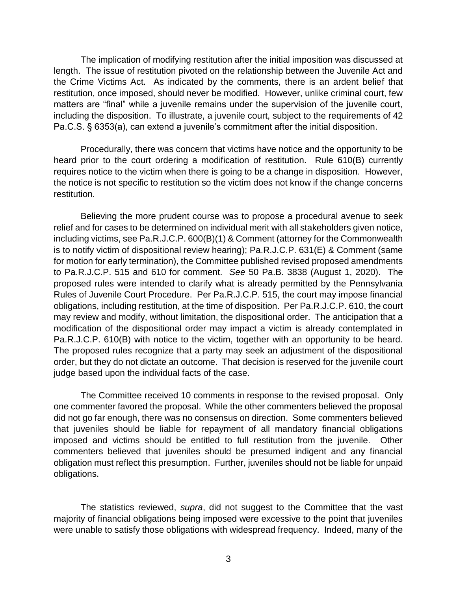The implication of modifying restitution after the initial imposition was discussed at length. The issue of restitution pivoted on the relationship between the Juvenile Act and the Crime Victims Act. As indicated by the comments, there is an ardent belief that restitution, once imposed, should never be modified. However, unlike criminal court, few matters are "final" while a juvenile remains under the supervision of the juvenile court, including the disposition. To illustrate, a juvenile court, subject to the requirements of 42 Pa.C.S. § 6353(a), can extend a juvenile's commitment after the initial disposition.

Procedurally, there was concern that victims have notice and the opportunity to be heard prior to the court ordering a modification of restitution. Rule 610(B) currently requires notice to the victim when there is going to be a change in disposition. However, the notice is not specific to restitution so the victim does not know if the change concerns restitution.

Believing the more prudent course was to propose a procedural avenue to seek relief and for cases to be determined on individual merit with all stakeholders given notice, including victims, see Pa.R.J.C.P. 600(B)(1) & Comment (attorney for the Commonwealth is to notify victim of dispositional review hearing); Pa.R.J.C.P. 631(E) & Comment (same for motion for early termination), the Committee published revised proposed amendments to Pa.R.J.C.P. 515 and 610 for comment. *See* 50 Pa.B. 3838 (August 1, 2020). The proposed rules were intended to clarify what is already permitted by the Pennsylvania Rules of Juvenile Court Procedure. Per Pa.R.J.C.P. 515, the court may impose financial obligations, including restitution, at the time of disposition. Per Pa.R.J.C.P. 610, the court may review and modify, without limitation, the dispositional order. The anticipation that a modification of the dispositional order may impact a victim is already contemplated in Pa.R.J.C.P. 610(B) with notice to the victim, together with an opportunity to be heard. The proposed rules recognize that a party may seek an adjustment of the dispositional order, but they do not dictate an outcome. That decision is reserved for the juvenile court judge based upon the individual facts of the case.

The Committee received 10 comments in response to the revised proposal. Only one commenter favored the proposal. While the other commenters believed the proposal did not go far enough, there was no consensus on direction. Some commenters believed that juveniles should be liable for repayment of all mandatory financial obligations imposed and victims should be entitled to full restitution from the juvenile. Other commenters believed that juveniles should be presumed indigent and any financial obligation must reflect this presumption. Further, juveniles should not be liable for unpaid obligations.

The statistics reviewed, *supra*, did not suggest to the Committee that the vast majority of financial obligations being imposed were excessive to the point that juveniles were unable to satisfy those obligations with widespread frequency. Indeed, many of the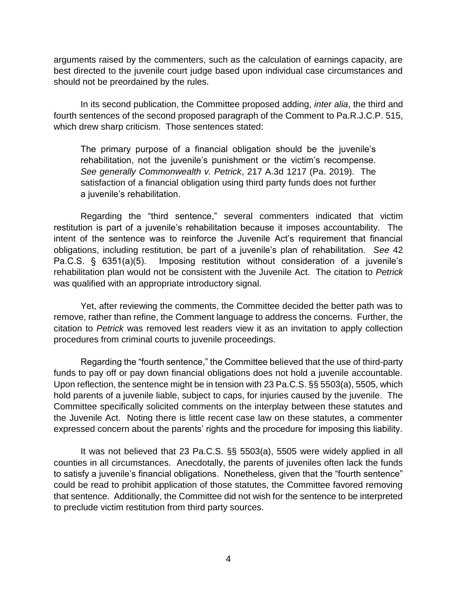arguments raised by the commenters, such as the calculation of earnings capacity, are best directed to the juvenile court judge based upon individual case circumstances and should not be preordained by the rules.

In its second publication, the Committee proposed adding, *inter alia*, the third and fourth sentences of the second proposed paragraph of the Comment to Pa.R.J.C.P. 515, which drew sharp criticism. Those sentences stated:

The primary purpose of a financial obligation should be the juvenile's rehabilitation, not the juvenile's punishment or the victim's recompense. *See generally Commonwealth v. Petrick*, 217 A.3d 1217 (Pa. 2019). The satisfaction of a financial obligation using third party funds does not further a juvenile's rehabilitation.

Regarding the "third sentence," several commenters indicated that victim restitution is part of a juvenile's rehabilitation because it imposes accountability. The intent of the sentence was to reinforce the Juvenile Act's requirement that financial obligations, including restitution, be part of a juvenile's plan of rehabilitation. *See* 42 Pa.C.S. § 6351(a)(5). Imposing restitution without consideration of a juvenile's rehabilitation plan would not be consistent with the Juvenile Act. The citation to *Petrick* was qualified with an appropriate introductory signal.

Yet, after reviewing the comments, the Committee decided the better path was to remove, rather than refine, the Comment language to address the concerns. Further, the citation to *Petrick* was removed lest readers view it as an invitation to apply collection procedures from criminal courts to juvenile proceedings.

Regarding the "fourth sentence," the Committee believed that the use of third-party funds to pay off or pay down financial obligations does not hold a juvenile accountable. Upon reflection, the sentence might be in tension with 23 Pa.C.S. §§ 5503(a), 5505, which hold parents of a juvenile liable, subject to caps, for injuries caused by the juvenile. The Committee specifically solicited comments on the interplay between these statutes and the Juvenile Act. Noting there is little recent case law on these statutes, a commenter expressed concern about the parents' rights and the procedure for imposing this liability.

It was not believed that 23 Pa.C.S. §§ 5503(a), 5505 were widely applied in all counties in all circumstances. Anecdotally, the parents of juveniles often lack the funds to satisfy a juvenile's financial obligations. Nonetheless, given that the "fourth sentence" could be read to prohibit application of those statutes, the Committee favored removing that sentence. Additionally, the Committee did not wish for the sentence to be interpreted to preclude victim restitution from third party sources.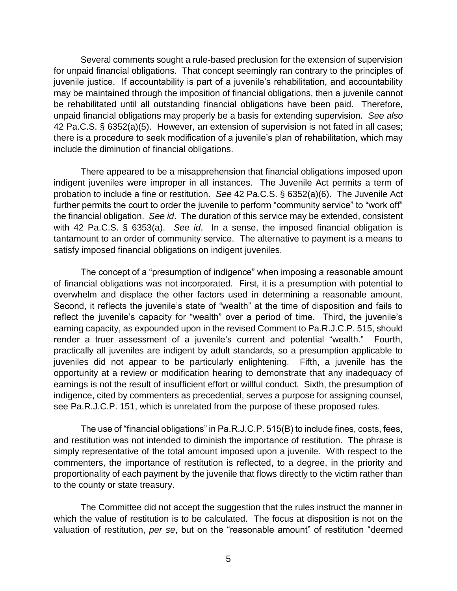Several comments sought a rule-based preclusion for the extension of supervision for unpaid financial obligations. That concept seemingly ran contrary to the principles of juvenile justice. If accountability is part of a juvenile's rehabilitation, and accountability may be maintained through the imposition of financial obligations, then a juvenile cannot be rehabilitated until all outstanding financial obligations have been paid. Therefore, unpaid financial obligations may properly be a basis for extending supervision. *See also*  42 Pa.C.S. § 6352(a)(5). However, an extension of supervision is not fated in all cases; there is a procedure to seek modification of a juvenile's plan of rehabilitation, which may include the diminution of financial obligations.

There appeared to be a misapprehension that financial obligations imposed upon indigent juveniles were improper in all instances. The Juvenile Act permits a term of probation to include a fine or restitution. *See* 42 Pa.C.S. § 6352(a)(6). The Juvenile Act further permits the court to order the juvenile to perform "community service" to "work off" the financial obligation. *See id*. The duration of this service may be extended, consistent with 42 Pa.C.S. § 6353(a). *See id*. In a sense, the imposed financial obligation is tantamount to an order of community service. The alternative to payment is a means to satisfy imposed financial obligations on indigent juveniles.

The concept of a "presumption of indigence" when imposing a reasonable amount of financial obligations was not incorporated. First, it is a presumption with potential to overwhelm and displace the other factors used in determining a reasonable amount. Second, it reflects the juvenile's state of "wealth" at the time of disposition and fails to reflect the juvenile's capacity for "wealth" over a period of time. Third, the juvenile's earning capacity, as expounded upon in the revised Comment to Pa.R.J.C.P. 515, should render a truer assessment of a juvenile's current and potential "wealth." Fourth, practically all juveniles are indigent by adult standards, so a presumption applicable to juveniles did not appear to be particularly enlightening. Fifth, a juvenile has the opportunity at a review or modification hearing to demonstrate that any inadequacy of earnings is not the result of insufficient effort or willful conduct. Sixth, the presumption of indigence, cited by commenters as precedential, serves a purpose for assigning counsel, see Pa.R.J.C.P. 151, which is unrelated from the purpose of these proposed rules.

The use of "financial obligations" in Pa.R.J.C.P. 515(B) to include fines, costs, fees, and restitution was not intended to diminish the importance of restitution. The phrase is simply representative of the total amount imposed upon a juvenile. With respect to the commenters, the importance of restitution is reflected, to a degree, in the priority and proportionality of each payment by the juvenile that flows directly to the victim rather than to the county or state treasury.

The Committee did not accept the suggestion that the rules instruct the manner in which the value of restitution is to be calculated. The focus at disposition is not on the valuation of restitution, *per se*, but on the "reasonable amount" of restitution "deemed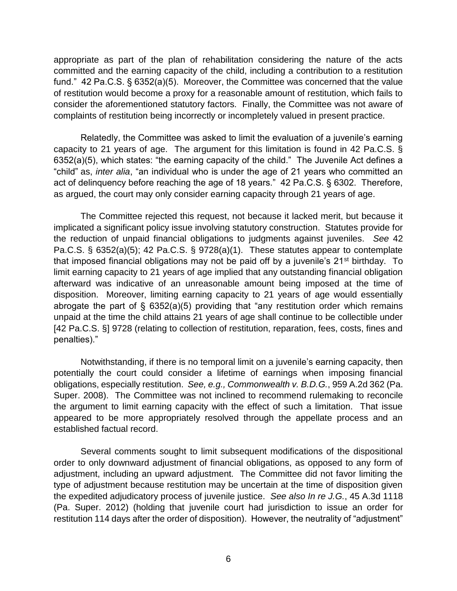appropriate as part of the plan of rehabilitation considering the nature of the acts committed and the earning capacity of the child, including a contribution to a restitution fund." 42 Pa.C.S. § 6352(a)(5). Moreover, the Committee was concerned that the value of restitution would become a proxy for a reasonable amount of restitution, which fails to consider the aforementioned statutory factors. Finally, the Committee was not aware of complaints of restitution being incorrectly or incompletely valued in present practice.

Relatedly, the Committee was asked to limit the evaluation of a juvenile's earning capacity to 21 years of age. The argument for this limitation is found in 42 Pa.C.S. § 6352(a)(5), which states: "the earning capacity of the child." The Juvenile Act defines a "child" as, *inter alia*, "an individual who is under the age of 21 years who committed an act of delinquency before reaching the age of 18 years." 42 Pa.C.S. § 6302. Therefore, as argued, the court may only consider earning capacity through 21 years of age.

The Committee rejected this request, not because it lacked merit, but because it implicated a significant policy issue involving statutory construction. Statutes provide for the reduction of unpaid financial obligations to judgments against juveniles. *See* 42 Pa.C.S. § 6352(a)(5); 42 Pa.C.S. § 9728(a)(1). These statutes appear to contemplate that imposed financial obligations may not be paid off by a juvenile's 21<sup>st</sup> birthday. To limit earning capacity to 21 years of age implied that any outstanding financial obligation afterward was indicative of an unreasonable amount being imposed at the time of disposition. Moreover, limiting earning capacity to 21 years of age would essentially abrogate the part of  $\S$  6352(a)(5) providing that "any restitution order which remains unpaid at the time the child attains 21 years of age shall continue to be collectible under [42 Pa.C.S. §] 9728 (relating to collection of restitution, reparation, fees, costs, fines and penalties)."

Notwithstanding, if there is no temporal limit on a juvenile's earning capacity, then potentially the court could consider a lifetime of earnings when imposing financial obligations, especially restitution. *See, e.g., Commonwealth v. B.D.G.*, 959 A.2d 362 (Pa. Super. 2008). The Committee was not inclined to recommend rulemaking to reconcile the argument to limit earning capacity with the effect of such a limitation. That issue appeared to be more appropriately resolved through the appellate process and an established factual record.

Several comments sought to limit subsequent modifications of the dispositional order to only downward adjustment of financial obligations, as opposed to any form of adjustment, including an upward adjustment. The Committee did not favor limiting the type of adjustment because restitution may be uncertain at the time of disposition given the expedited adjudicatory process of juvenile justice. *See also In re J.G.*, 45 A.3d 1118 (Pa. Super. 2012) (holding that juvenile court had jurisdiction to issue an order for restitution 114 days after the order of disposition). However, the neutrality of "adjustment"